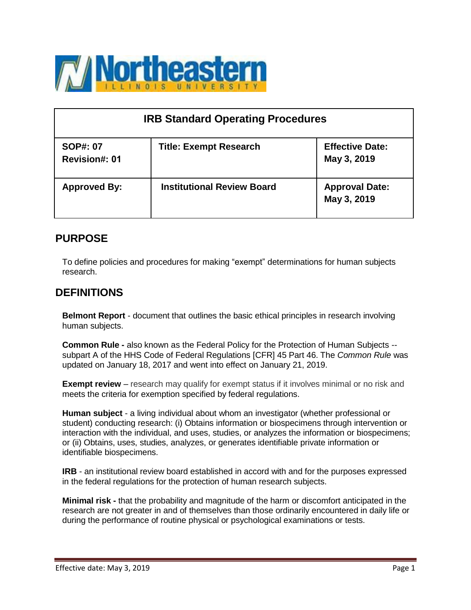

| <b>IRB Standard Operating Procedures</b> |                                   |                                       |  |
|------------------------------------------|-----------------------------------|---------------------------------------|--|
| <b>SOP#: 07</b><br><b>Revision#: 01</b>  | <b>Title: Exempt Research</b>     | <b>Effective Date:</b><br>May 3, 2019 |  |
| <b>Approved By:</b>                      | <b>Institutional Review Board</b> | <b>Approval Date:</b><br>May 3, 2019  |  |

## **PURPOSE**

To define policies and procedures for making "exempt" determinations for human subjects research.

## **DEFINITIONS**

**Belmont Report** - document that outlines the basic ethical principles in research involving human subjects.

**Common Rule -** also known as the Federal Policy for the Protection of Human Subjects - subpart A of the HHS Code of Federal Regulations [CFR] 45 Part 46. The *Common Rule* was updated on January 18, 2017 and went into effect on January 21, 2019.

**Exempt review** – research may qualify for exempt status if it involves minimal or no risk and meets the criteria for exemption specified by federal regulations.

**Human subject** - a living individual about whom an investigator (whether professional or student) conducting research: (i) Obtains information or biospecimens through intervention or interaction with the individual, and uses, studies, or analyzes the information or biospecimens; or (ii) Obtains, uses, studies, analyzes, or generates identifiable private information or identifiable biospecimens.

**IRB** - an institutional review board established in accord with and for the purposes expressed in the federal regulations for the protection of human research subjects.

**Minimal risk -** that the probability and magnitude of the harm or discomfort anticipated in the research are not greater in and of themselves than those ordinarily encountered in daily life or during the performance of routine physical or psychological examinations or tests.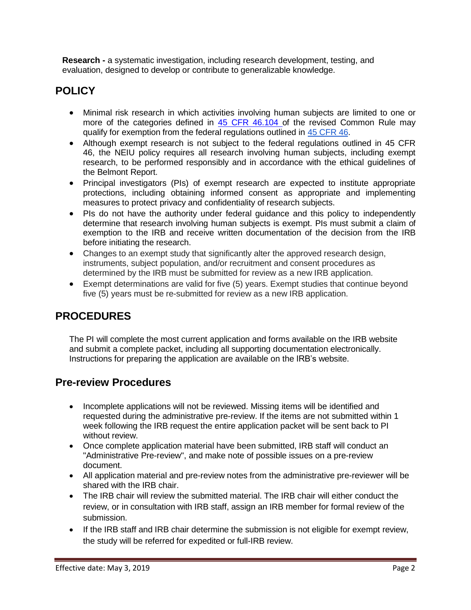**Research -** a systematic investigation, including research development, testing, and evaluation, designed to develop or contribute to generalizable knowledge.

# **POLICY**

- Minimal risk research in which activities involving human subjects are limited to one or more of the categories defined in 45 CFR [46.104](https://www.gpo.gov/fdsys/pkg/FR-2017-01-19/pdf/2017-01058.pdf) of the revised Common Rule may qualify for exemption from the federal regulations outlined in 45 [CFR 46.](https://www.ecfr.gov/cgi-bin/retrieveECFR?gp&SID=83cd09e1c0f5c6937cd9d7513160fc3f&pitd=20180719&n=pt45.1.46&r=PART&ty=HTML&se45.1.46_1102)
- Although exempt research is not subject to the federal regulations outlined in 45 CFR 46, the NEIU policy requires all research involving human subjects, including exempt research, to be performed responsibly and in accordance with the ethical guidelines of the Belmont Report.
- Principal investigators (PIs) of exempt research are expected to institute appropriate protections, including obtaining informed consent as appropriate and implementing measures to protect privacy and confidentiality of research subjects.
- PIs do not have the authority under federal guidance and this policy to independently determine that research involving human subjects is exempt. PIs must submit a claim of exemption to the IRB and receive written documentation of the decision from the IRB before initiating the research.
- Changes to an exempt study that significantly alter the approved research design, instruments, subject population, and/or recruitment and consent procedures as determined by the IRB must be submitted for review as a new IRB application.
- Exempt determinations are valid for five (5) years. Exempt studies that continue beyond five (5) years must be re-submitted for review as a new IRB application.

# **PROCEDURES**

The PI will complete the most current application and forms available on the IRB website and submit a complete packet, including all supporting documentation electronically. Instructions for preparing the application are available on the IRB's website.

### **Pre-review Procedures**

- Incomplete applications will not be reviewed. Missing items will be identified and requested during the administrative pre-review. If the items are not submitted within 1 week following the IRB request the entire application packet will be sent back to PI without review.
- Once complete application material have been submitted, IRB staff will conduct an "Administrative Pre-review", and make note of possible issues on a pre-review document.
- All application material and pre-review notes from the administrative pre-reviewer will be shared with the IRB chair.
- The IRB chair will review the submitted material. The IRB chair will either conduct the review, or in consultation with IRB staff, assign an IRB member for formal review of the submission.
- If the IRB staff and IRB chair determine the submission is not eligible for exempt review, the study will be referred for expedited or full-IRB review.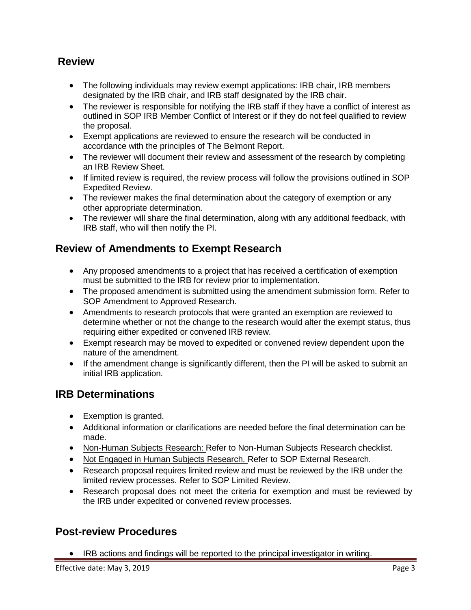## **Review**

- The following individuals may review exempt applications: IRB chair, IRB members designated by the IRB chair, and IRB staff designated by the IRB chair.
- The reviewer is responsible for notifying the IRB staff if they have a conflict of interest as outlined in SOP IRB Member Conflict of Interest or if they do not feel qualified to review the proposal.
- Exempt applications are reviewed to ensure the research will be conducted in accordance with the principles of The Belmont Report.
- The reviewer will document their review and assessment of the research by completing an IRB Review Sheet.
- If limited review is required, the review process will follow the provisions outlined in SOP Expedited Review.
- The reviewer makes the final determination about the category of exemption or any other appropriate determination.
- The reviewer will share the final determination, along with any additional feedback, with IRB staff, who will then notify the PI.

# **Review of Amendments to Exempt Research**

- Any proposed amendments to a project that has received a certification of exemption must be submitted to the IRB for review prior to implementation.
- The proposed amendment is submitted using the amendment submission form. Refer to SOP Amendment to Approved Research.
- Amendments to research protocols that were granted an exemption are reviewed to determine whether or not the change to the research would alter the exempt status, thus requiring either expedited or convened IRB review.
- Exempt research may be moved to expedited or convened review dependent upon the nature of the amendment.
- If the amendment change is significantly different, then the PI will be asked to submit an initial IRB application.

## **IRB Determinations**

- Exemption is granted.
- Additional information or clarifications are needed before the final determination can be made.
- Non-Human Subjects Research: Refer to Non-Human Subjects Research checklist.
- Not Engaged in Human Subjects Research. Refer to SOP External Research.
- Research proposal requires limited review and must be reviewed by the IRB under the limited review processes. Refer to SOP Limited Review.
- Research proposal does not meet the criteria for exemption and must be reviewed by the IRB under expedited or convened review processes.

### **Post-review Procedures**

• IRB actions and findings will be reported to the principal investigator in writing.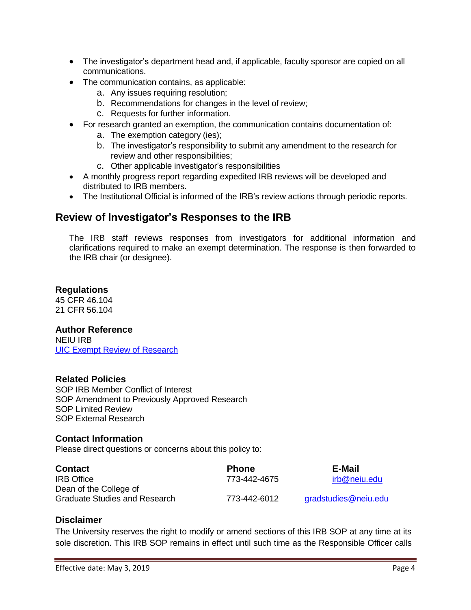- The investigator's department head and, if applicable, faculty sponsor are copied on all communications.
- The communication contains, as applicable:
	- a. Any issues requiring resolution;
	- b. Recommendations for changes in the level of review;
	- c. Requests for further information.
- For research granted an exemption, the communication contains documentation of:
	- a. The exemption category (ies);
	- b. The investigator's responsibility to submit any amendment to the research for review and other responsibilities;
	- c. Other applicable investigator's responsibilities
- A monthly progress report regarding expedited IRB reviews will be developed and distributed to IRB members.
- The Institutional Official is informed of the IRB's review actions through periodic reports.

### **Review of Investigator's Responses to the IRB**

The IRB staff reviews responses from investigators for additional information and clarifications required to make an exempt determination. The response is then forwarded to the IRB chair (or designee).

#### **Regulations**

45 CFR 46.104 21 CFR 56.104

#### **Author Reference**

NEIU IRB [UIC Exempt](http://research.uic.edu/node/738) Review of Research

#### **Related Policies**

SOP IRB Member Conflict of Interest SOP Amendment to Previously Approved Research SOP Limited Review SOP External Research

#### **Contact Information**

Please direct questions or concerns about this policy to:

| <b>Contact</b>                       | <b>Phone</b> | E-Mail               |
|--------------------------------------|--------------|----------------------|
| <b>IRB</b> Office                    | 773-442-4675 | irb@neiu.edu         |
| Dean of the College of               |              |                      |
| <b>Graduate Studies and Research</b> | 773-442-6012 | gradstudies@neiu.edu |

#### **Disclaimer**

The University reserves the right to modify or amend sections of this IRB SOP at any time at its sole discretion. This IRB SOP remains in effect until such time as the Responsible Officer calls